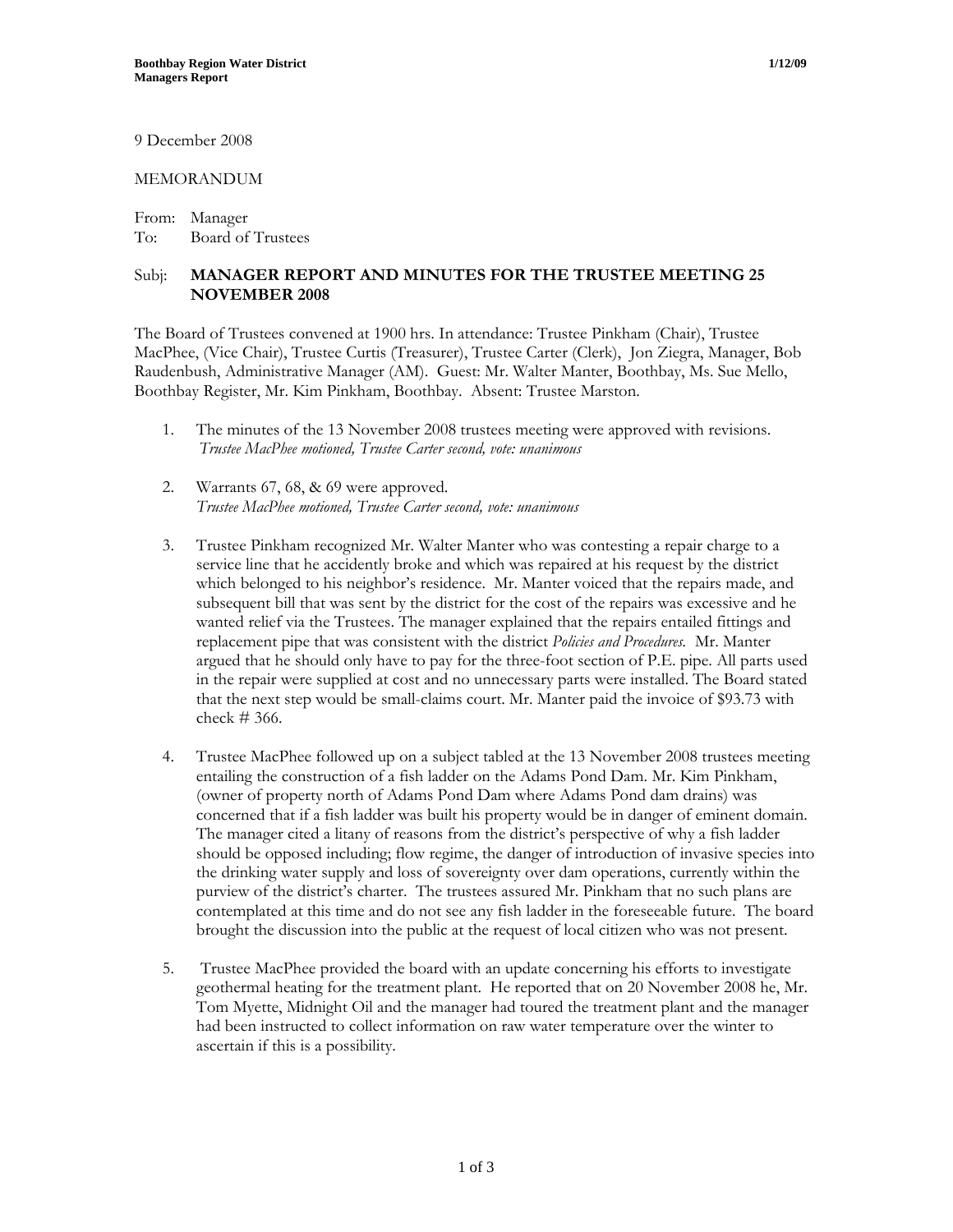9 December 2008

## MEMORANDUM

From: Manager To: Board of Trustees

## Subj: **MANAGER REPORT AND MINUTES FOR THE TRUSTEE MEETING 25 NOVEMBER 2008**

The Board of Trustees convened at 1900 hrs. In attendance: Trustee Pinkham (Chair), Trustee MacPhee, (Vice Chair), Trustee Curtis (Treasurer), Trustee Carter (Clerk), Jon Ziegra, Manager, Bob Raudenbush, Administrative Manager (AM). Guest: Mr. Walter Manter, Boothbay, Ms. Sue Mello, Boothbay Register, Mr. Kim Pinkham, Boothbay. Absent: Trustee Marston.

- 1. The minutes of the 13 November 2008 trustees meeting were approved with revisions. *Trustee MacPhee motioned, Trustee Carter second, vote: unanimous*
- 2. Warrants 67, 68, & 69 were approved. *Trustee MacPhee motioned, Trustee Carter second, vote: unanimous*
- 3. Trustee Pinkham recognized Mr. Walter Manter who was contesting a repair charge to a service line that he accidently broke and which was repaired at his request by the district which belonged to his neighbor's residence. Mr. Manter voiced that the repairs made, and subsequent bill that was sent by the district for the cost of the repairs was excessive and he wanted relief via the Trustees. The manager explained that the repairs entailed fittings and replacement pipe that was consistent with the district *Policies and Procedures.* Mr. Manter argued that he should only have to pay for the three-foot section of P.E. pipe. All parts used in the repair were supplied at cost and no unnecessary parts were installed. The Board stated that the next step would be small-claims court. Mr. Manter paid the invoice of \$93.73 with check # 366.
- 4. Trustee MacPhee followed up on a subject tabled at the 13 November 2008 trustees meeting entailing the construction of a fish ladder on the Adams Pond Dam. Mr. Kim Pinkham, (owner of property north of Adams Pond Dam where Adams Pond dam drains) was concerned that if a fish ladder was built his property would be in danger of eminent domain. The manager cited a litany of reasons from the district's perspective of why a fish ladder should be opposed including; flow regime, the danger of introduction of invasive species into the drinking water supply and loss of sovereignty over dam operations, currently within the purview of the district's charter. The trustees assured Mr. Pinkham that no such plans are contemplated at this time and do not see any fish ladder in the foreseeable future. The board brought the discussion into the public at the request of local citizen who was not present.
- 5. Trustee MacPhee provided the board with an update concerning his efforts to investigate geothermal heating for the treatment plant. He reported that on 20 November 2008 he, Mr. Tom Myette, Midnight Oil and the manager had toured the treatment plant and the manager had been instructed to collect information on raw water temperature over the winter to ascertain if this is a possibility.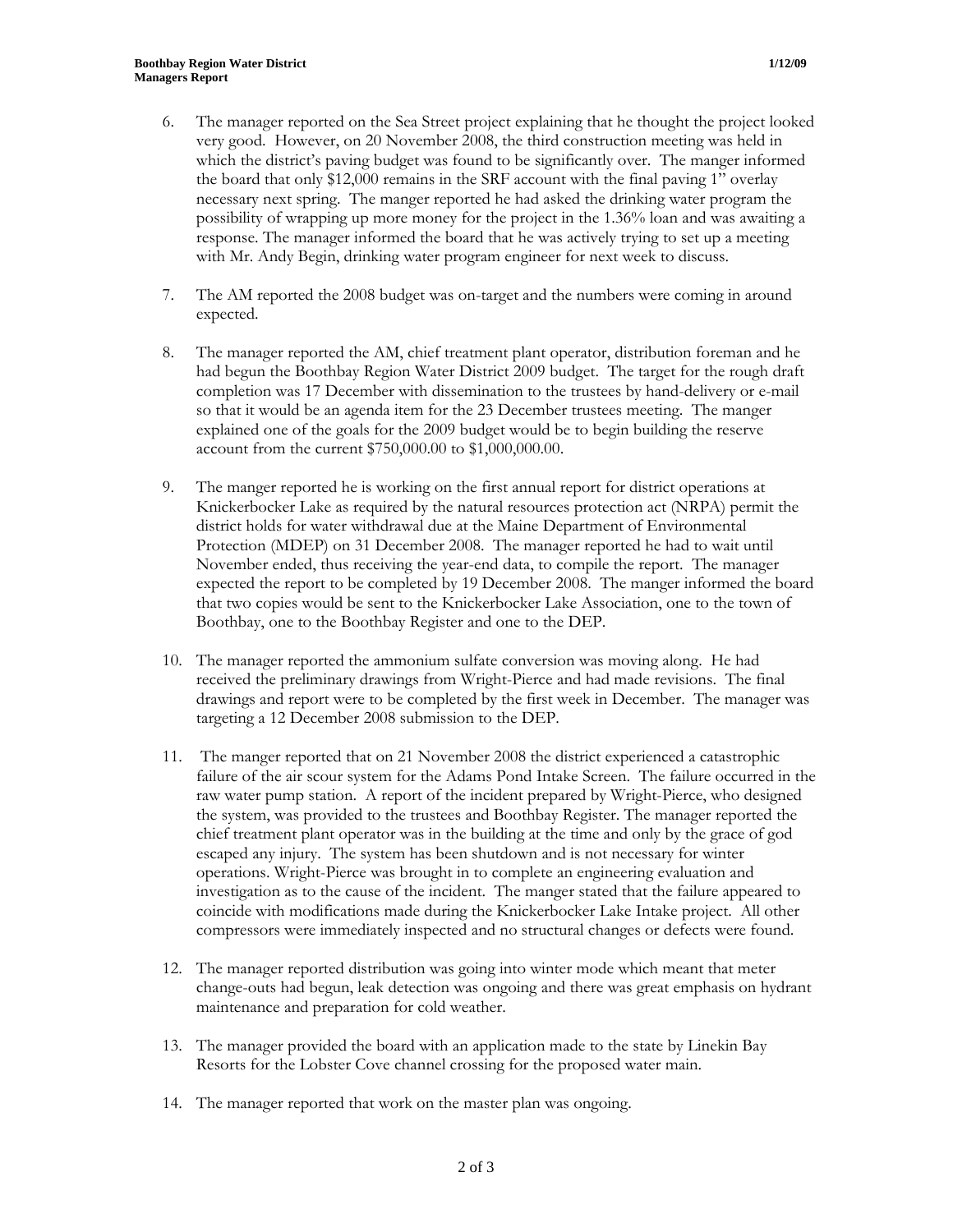- 6. The manager reported on the Sea Street project explaining that he thought the project looked very good. However, on 20 November 2008, the third construction meeting was held in which the district's paving budget was found to be significantly over. The manger informed the board that only \$12,000 remains in the SRF account with the final paving 1" overlay necessary next spring. The manger reported he had asked the drinking water program the possibility of wrapping up more money for the project in the 1.36% loan and was awaiting a response. The manager informed the board that he was actively trying to set up a meeting with Mr. Andy Begin, drinking water program engineer for next week to discuss.
- 7. The AM reported the 2008 budget was on-target and the numbers were coming in around expected.
- 8. The manager reported the AM, chief treatment plant operator, distribution foreman and he had begun the Boothbay Region Water District 2009 budget. The target for the rough draft completion was 17 December with dissemination to the trustees by hand-delivery or e-mail so that it would be an agenda item for the 23 December trustees meeting. The manger explained one of the goals for the 2009 budget would be to begin building the reserve account from the current \$750,000.00 to \$1,000,000.00.
- 9. The manger reported he is working on the first annual report for district operations at Knickerbocker Lake as required by the natural resources protection act (NRPA) permit the district holds for water withdrawal due at the Maine Department of Environmental Protection (MDEP) on 31 December 2008. The manager reported he had to wait until November ended, thus receiving the year-end data, to compile the report. The manager expected the report to be completed by 19 December 2008. The manger informed the board that two copies would be sent to the Knickerbocker Lake Association, one to the town of Boothbay, one to the Boothbay Register and one to the DEP.
- 10. The manager reported the ammonium sulfate conversion was moving along. He had received the preliminary drawings from Wright-Pierce and had made revisions. The final drawings and report were to be completed by the first week in December. The manager was targeting a 12 December 2008 submission to the DEP.
- 11. The manger reported that on 21 November 2008 the district experienced a catastrophic failure of the air scour system for the Adams Pond Intake Screen. The failure occurred in the raw water pump station. A report of the incident prepared by Wright-Pierce, who designed the system, was provided to the trustees and Boothbay Register. The manager reported the chief treatment plant operator was in the building at the time and only by the grace of god escaped any injury. The system has been shutdown and is not necessary for winter operations. Wright-Pierce was brought in to complete an engineering evaluation and investigation as to the cause of the incident. The manger stated that the failure appeared to coincide with modifications made during the Knickerbocker Lake Intake project. All other compressors were immediately inspected and no structural changes or defects were found.
- 12. The manager reported distribution was going into winter mode which meant that meter change-outs had begun, leak detection was ongoing and there was great emphasis on hydrant maintenance and preparation for cold weather.
- 13. The manager provided the board with an application made to the state by Linekin Bay Resorts for the Lobster Cove channel crossing for the proposed water main.
- 14. The manager reported that work on the master plan was ongoing.